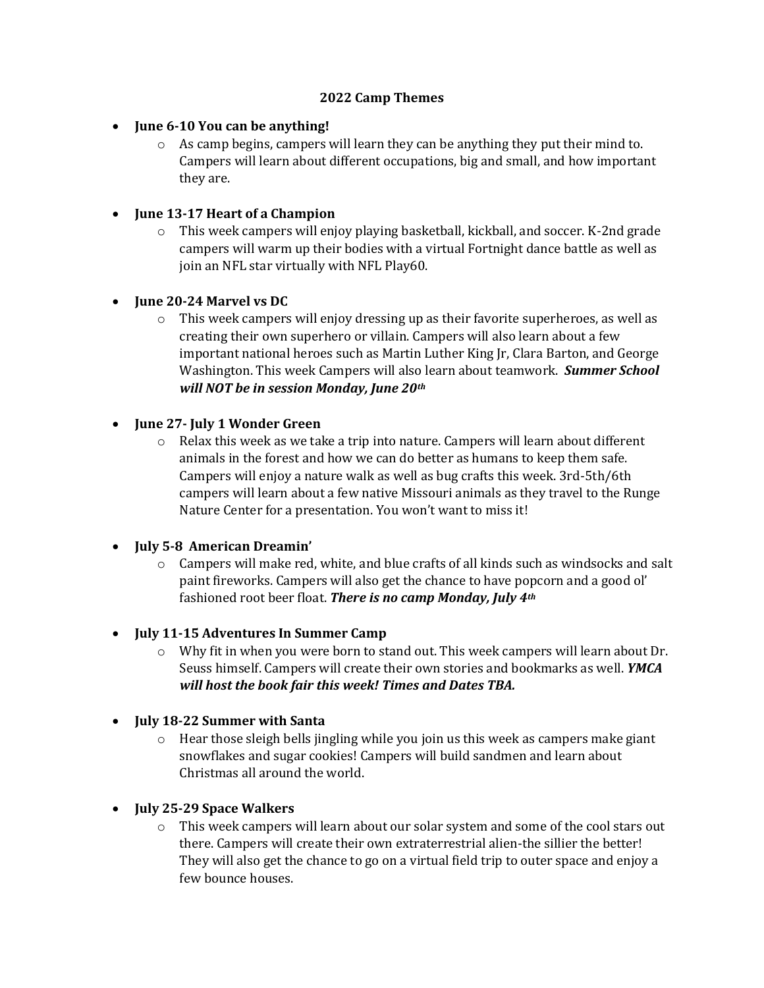#### **2022 Camp Themes**

- **June 6-10 You can be anything!**
	- o As camp begins, campers will learn they can be anything they put their mind to. Campers will learn about different occupations, big and small, and how important they are.

### **June 13-17 Heart of a Champion**

o This week campers will enjoy playing basketball, kickball, and soccer. K-2nd grade campers will warm up their bodies with a virtual Fortnight dance battle as well as join an NFL star virtually with NFL Play60.

### **June 20-24 Marvel vs DC**

 $\circ$  This week campers will enjoy dressing up as their favorite superheroes, as well as creating their own superhero or villain. Campers will also learn about a few important national heroes such as Martin Luther King Jr, Clara Barton, and George Washington. This week Campers will also learn about teamwork. *Summer School will NOT be in session Monday, June 20th*

### **June 27- July 1 Wonder Green**

 $\circ$  Relax this week as we take a trip into nature. Campers will learn about different animals in the forest and how we can do better as humans to keep them safe. Campers will enjoy a nature walk as well as bug crafts this week. 3rd-5th/6th campers will learn about a few native Missouri animals as they travel to the Runge Nature Center for a presentation. You won't want to miss it!

# **July 5-8 American Dreamin'**

 $\circ$  Campers will make red, white, and blue crafts of all kinds such as windsocks and salt paint fireworks. Campers will also get the chance to have popcorn and a good ol' fashioned root beer float. *There is no camp Monday, July 4th*

# **July 11-15 Adventures In Summer Camp**

- $\circ$  Why fit in when you were born to stand out. This week campers will learn about Dr. Seuss himself. Campers will create their own stories and bookmarks as well. *YMCA will host the book fair this week! Times and Dates TBA.*
- **July 18-22 Summer with Santa**
	- $\circ$  Hear those sleigh bells jingling while you join us this week as campers make giant snowflakes and sugar cookies! Campers will build sandmen and learn about Christmas all around the world.
- **July 25-29 Space Walkers**
	- $\circ$  This week campers will learn about our solar system and some of the cool stars out there. Campers will create their own extraterrestrial alien-the sillier the better! They will also get the chance to go on a virtual field trip to outer space and enjoy a few bounce houses.